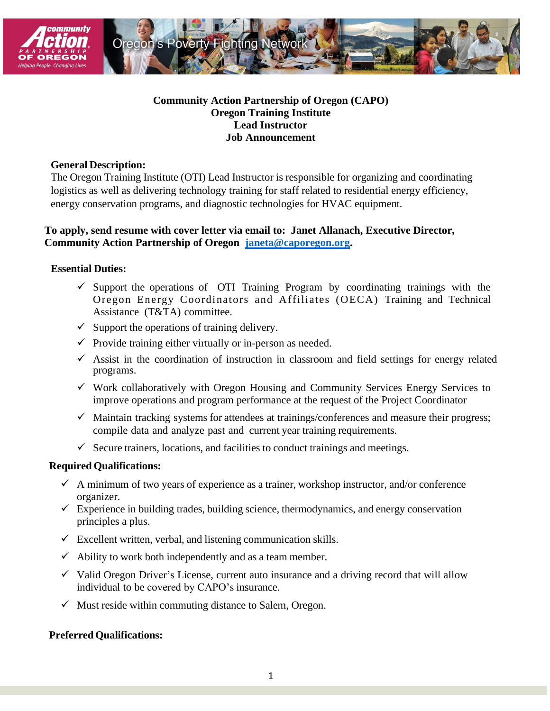



# **Community Action Partnership of Oregon (CAPO) Oregon Training Institute Lead Instructor Job Announcement**

## **General Description:**

The Oregon Training Institute (OTI) Lead Instructor is responsible for organizing and coordinating logistics as well as delivering technology training for staff related to residential energy efficiency, energy conservation programs, and diagnostic technologies for HVAC equipment.

# **To apply, send resume with cover letter via email to: Janet Allanach, Executive Director, Community Action Partnership of Oregon [janeta@caporegon.org.](mailto:janeta@caporegon.org)**

## **Essential Duties:**

- $\checkmark$  Support the operations of OTI Training Program by coordinating trainings with the Oregon Energy Coordinators and Affiliates (OECA) Training and Technical Assistance (T&TA) committee.
- $\checkmark$  Support the operations of training delivery.
- $\checkmark$  Provide training either virtually or in-person as needed.
- $\checkmark$  Assist in the coordination of instruction in classroom and field settings for energy related programs.
- $\checkmark$  Work collaboratively with Oregon Housing and Community Services Energy Services to improve operations and program performance at the request of the Project Coordinator
- $\checkmark$  Maintain tracking systems for attendees at trainings/conferences and measure their progress; compile data and analyze past and current year training requirements.
- $\checkmark$  Secure trainers, locations, and facilities to conduct trainings and meetings.

#### **Required Qualifications:**

- $\checkmark$  A minimum of two years of experience as a trainer, workshop instructor, and/or conference organizer.
- $\checkmark$  Experience in building trades, building science, thermodynamics, and energy conservation principles a plus.
- $\checkmark$  Excellent written, verbal, and listening communication skills.
- $\checkmark$  Ability to work both independently and as a team member.
- $\checkmark$  Valid Oregon Driver's License, current auto insurance and a driving record that will allow individual to be covered by CAPO's insurance.
- $\checkmark$  Must reside within commuting distance to Salem, Oregon.

#### **Preferred Qualifications:**